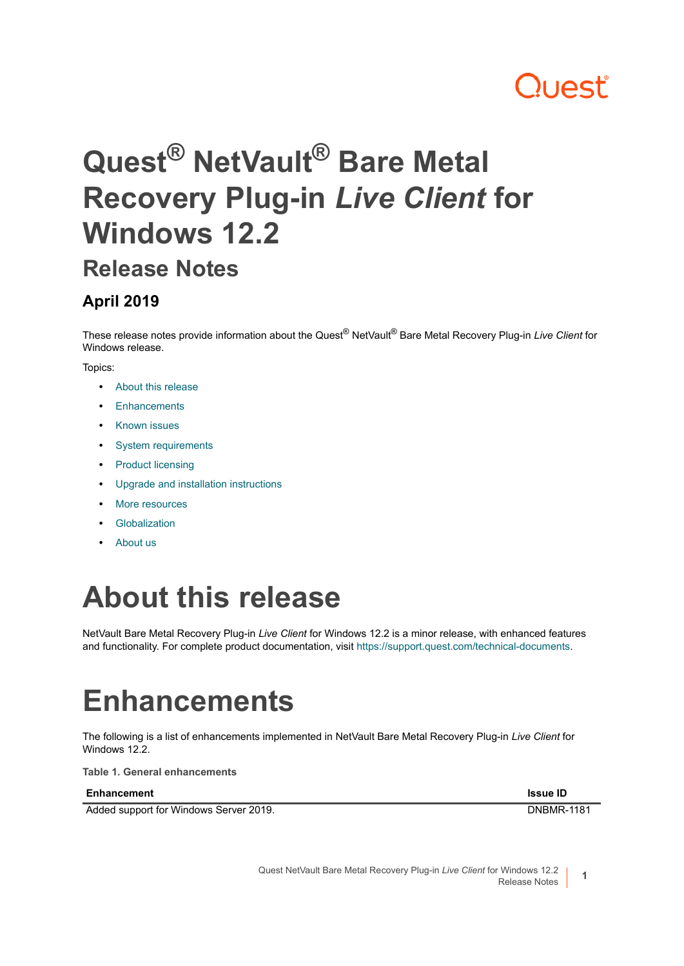# **ובאו**

# **Quest® NetVault® Bare Metal Recovery Plug-in** *Live Client* **for Windows 12.2**

#### **Release Notes**

#### **April 2019**

These release notes provide information about the Quest® NetVault® Bare Metal Recovery Plug-in *Live Client* for Windows release.

#### Topics:

- **•** [About this release](#page-0-0)
- **•** [Enhancements](#page-0-1)
- **•** [Known issues](#page-1-0)
- **•** [System requirements](#page-1-1)
- **•** [Product licensing](#page-1-2)
- **•** [Upgrade and installation instructions](#page-2-0)
- **•** [More resources](#page-3-0)
- **•** [Globalization](#page-3-1)
- **•** [About us](#page-3-2)

### <span id="page-0-0"></span>**About this release**

NetVault Bare Metal Recovery Plug-in *Live Client* for Windows 12.2 is a minor release, with enhanced features and functionality. For complete product documentation, visit <https://support.quest.com/technical-documents>.

## <span id="page-0-1"></span>**Enhancements**

The following is a list of enhancements implemented in NetVault Bare Metal Recovery Plug-in *Live Client* for Windows 12.2.

**Table 1. General enhancements**

#### **Enhancement Issue ID**

Added support for Windows Server 2019. **DISP Access 2019** DNBMR-1181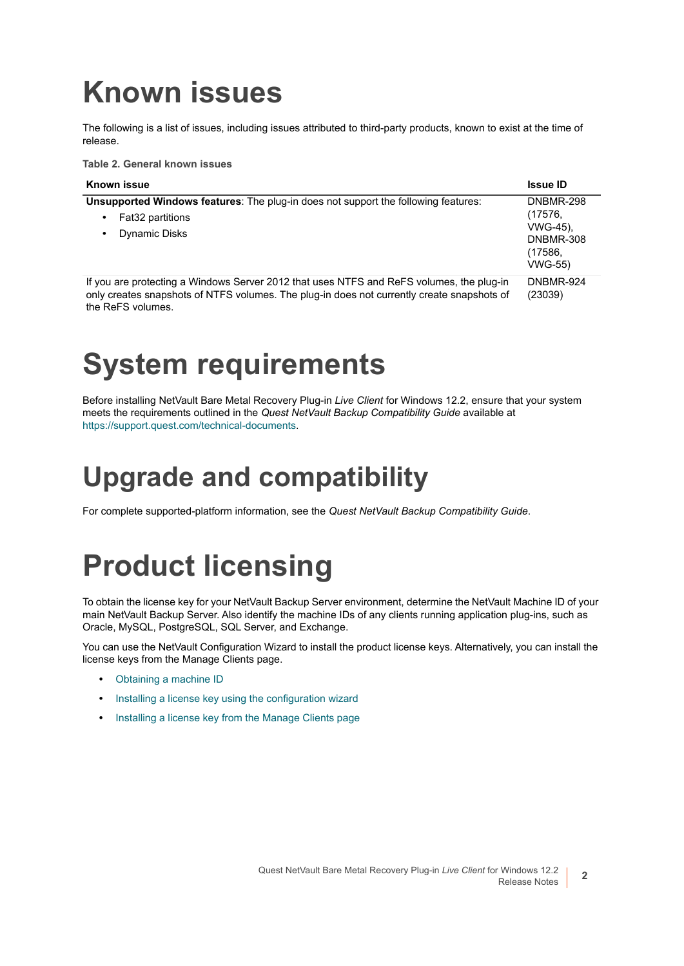## <span id="page-1-0"></span>**Known issues**

The following is a list of issues, including issues attributed to third-party products, known to exist at the time of release.

**Table 2. General known issues**

| Known issue                                                                                                                                                                                                 | <b>Issue ID</b>                                                            |
|-------------------------------------------------------------------------------------------------------------------------------------------------------------------------------------------------------------|----------------------------------------------------------------------------|
| Unsupported Windows features: The plug-in does not support the following features:<br>Fat <sub>32</sub> partitions<br>٠<br><b>Dynamic Disks</b><br>٠                                                        | DNBMR-298<br>(17576,<br>VWG-45).<br>DNBMR-308<br>(17586,<br><b>VWG-55)</b> |
| If you are protecting a Windows Server 2012 that uses NTFS and ReFS volumes, the plug-in<br>only creates snapshots of NTFS volumes. The plug-in does not currently create snapshots of<br>the ReFS volumes. | DNBMR-924<br>(23039)                                                       |

# <span id="page-1-1"></span>**System requirements**

Before installing NetVault Bare Metal Recovery Plug-in *Live Client* for Windows 12.2, ensure that your system meets the requirements outlined in the *Quest NetVault Backup Compatibility Guide* available at [https://support.quest.com/technical-documents.](https://support.quest.com/technical-documents)

### **Upgrade and compatibility**

For complete supported-platform information, see the *Quest NetVault Backup Compatibility Guide*.

# <span id="page-1-2"></span>**Product licensing**

To obtain the license key for your NetVault Backup Server environment, determine the NetVault Machine ID of your main NetVault Backup Server. Also identify the machine IDs of any clients running application plug-ins, such as Oracle, MySQL, PostgreSQL, SQL Server, and Exchange.

You can use the NetVault Configuration Wizard to install the product license keys. Alternatively, you can install the license keys from the Manage Clients page.

- **•** [Obtaining a machine ID](#page-2-1)
- **•** [Installing a license key using the configuration wizard](#page-2-2)
- **•** [Installing a license key from the Manage Clients page](#page-2-3)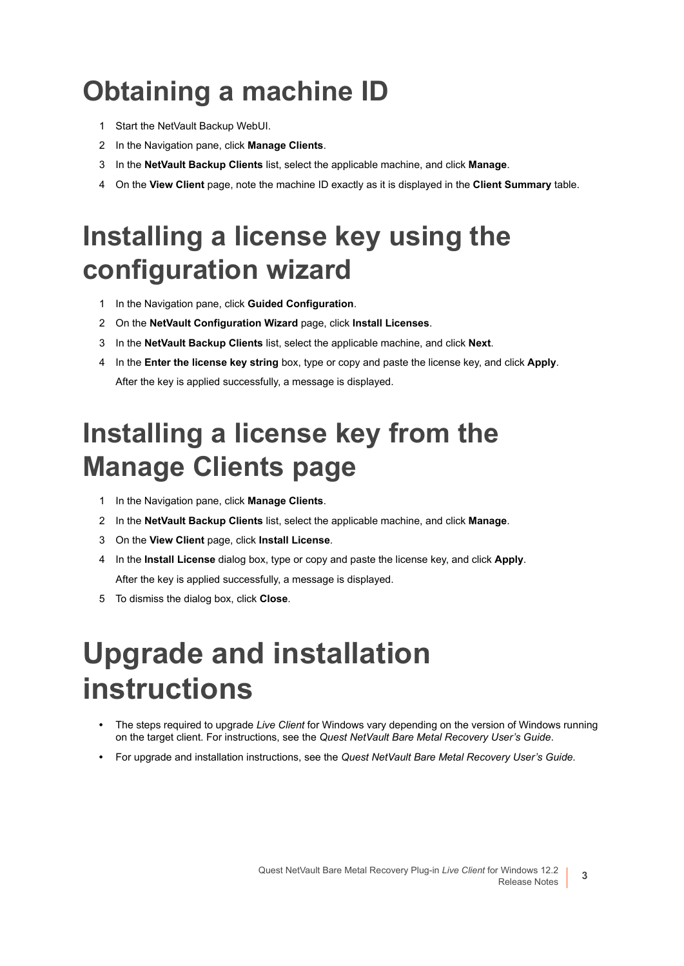## <span id="page-2-1"></span>**Obtaining a machine ID**

- 1 Start the NetVault Backup WebUI.
- 2 In the Navigation pane, click **Manage Clients**.
- 3 In the **NetVault Backup Clients** list, select the applicable machine, and click **Manage**.
- 4 On the **View Client** page, note the machine ID exactly as it is displayed in the **Client Summary** table.

### <span id="page-2-2"></span>**Installing a license key using the configuration wizard**

- 1 In the Navigation pane, click **Guided Configuration**.
- 2 On the **NetVault Configuration Wizard** page, click **Install Licenses**.
- 3 In the **NetVault Backup Clients** list, select the applicable machine, and click **Next**.
- 4 In the **Enter the license key string** box, type or copy and paste the license key, and click **Apply**. After the key is applied successfully, a message is displayed.

### <span id="page-2-3"></span>**Installing a license key from the Manage Clients page**

- 1 In the Navigation pane, click **Manage Clients**.
- 2 In the **NetVault Backup Clients** list, select the applicable machine, and click **Manage**.
- 3 On the **View Client** page, click **Install License**.
- 4 In the **Install License** dialog box, type or copy and paste the license key, and click **Apply**. After the key is applied successfully, a message is displayed.
- 5 To dismiss the dialog box, click **Close**.

## <span id="page-2-0"></span>**Upgrade and installation instructions**

- **•** The steps required to upgrade *Live Client* for Windows vary depending on the version of Windows running on the target client. For instructions, see the *Quest NetVault Bare Metal Recovery User's Guide*.
- **•** For upgrade and installation instructions, see the *Quest NetVault Bare Metal Recovery User's Guide*.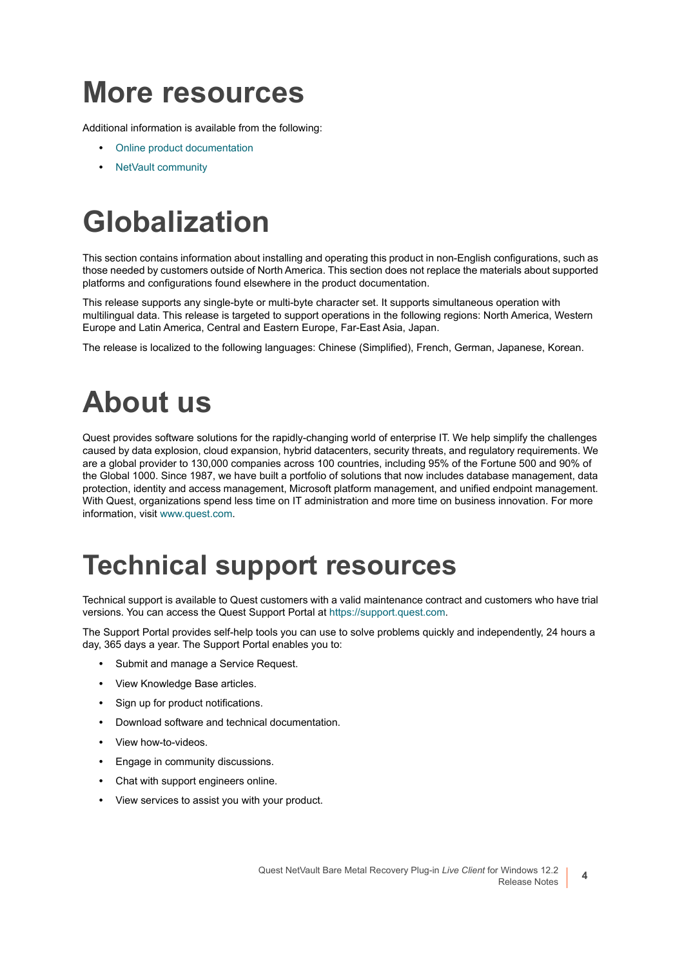### <span id="page-3-0"></span>**More resources**

Additional information is available from the following:

- **•** [Online product documentation](https://support.quest.com/technical-documents/)
- **•** [NetVault community](https://www.quest.com/community/products/netvault/)

# <span id="page-3-1"></span>**Globalization**

This section contains information about installing and operating this product in non-English configurations, such as those needed by customers outside of North America. This section does not replace the materials about supported platforms and configurations found elsewhere in the product documentation.

This release supports any single-byte or multi-byte character set. It supports simultaneous operation with multilingual data. This release is targeted to support operations in the following regions: North America, Western Europe and Latin America, Central and Eastern Europe, Far-East Asia, Japan.

The release is localized to the following languages: Chinese (Simplified), French, German, Japanese, Korean.

# <span id="page-3-2"></span>**About us**

Quest provides software solutions for the rapidly-changing world of enterprise IT. We help simplify the challenges caused by data explosion, cloud expansion, hybrid datacenters, security threats, and regulatory requirements. We are a global provider to 130,000 companies across 100 countries, including 95% of the Fortune 500 and 90% of the Global 1000. Since 1987, we have built a portfolio of solutions that now includes database management, data protection, identity and access management, Microsoft platform management, and unified endpoint management. With Quest, organizations spend less time on IT administration and more time on business innovation. For more information, visit [www.quest.com](https://www.quest.com/company/contact-us.aspx).

#### **Technical support resources**

Technical support is available to Quest customers with a valid maintenance contract and customers who have trial versions. You can access the Quest Support Portal at [https://support.quest.com.](https://support.quest.com)

The Support Portal provides self-help tools you can use to solve problems quickly and independently, 24 hours a day, 365 days a year. The Support Portal enables you to:

- **•** Submit and manage a Service Request.
- **•** View Knowledge Base articles.
- **•** Sign up for product notifications.
- **•** Download software and technical documentation.
- **•** View how-to-videos.
- **•** Engage in community discussions.
- **•** Chat with support engineers online.
- **•** View services to assist you with your product.